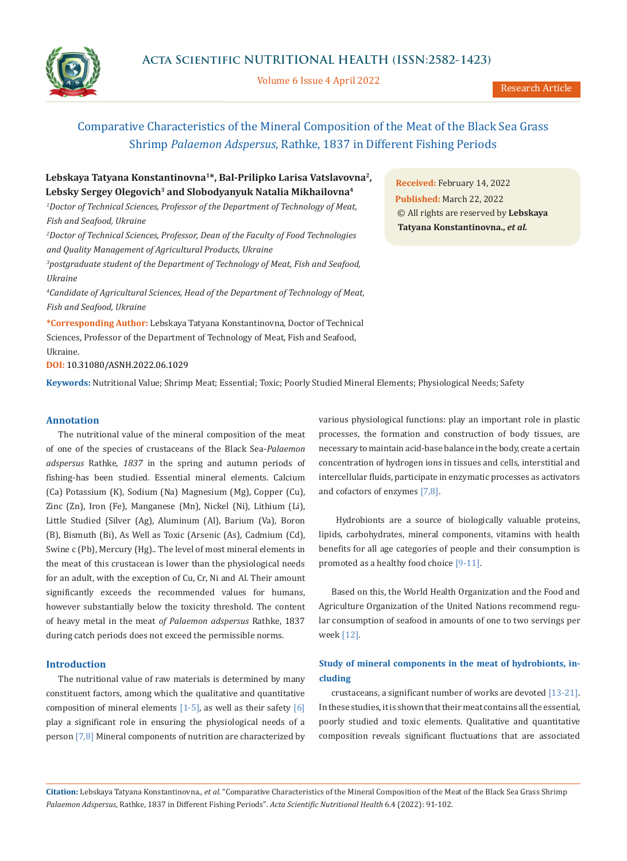

Volume 6 Issue 4 April 2022



Research Article

# Comparative Characteristics of the Mineral Composition of the Meat of the Black Sea Grass Shrimp *Palaemon Adspersus*, Rathke, 1837 in Different Fishing Periods

# **Lebskaya Tatyana Konstantinovna1\*, Bal-Prilipko Larisa Vatslavovna2,**  Lebsky Sergey Olegovich<sup>3</sup> and Slobodyanyuk Natalia Mikhailovna<sup>4</sup>

*1 Doctor of Technical Sciences, Professor of the Department of Technology of Meat, Fish and Seafood, Ukraine*

*2 Doctor of Technical Sciences, Professor, Dean of the Faculty of Food Technologies and Quality Management of Agricultural Products, Ukraine*

*3 postgraduate student of the Department of Technology of Meat, Fish and Seafood, Ukraine*

*4 Candidate of Agricultural Sciences, Head of the Department of Technology of Meat, Fish and Seafood, Ukraine*

**\*Corresponding Author:** Lebskaya Tatyana Konstantinovna, Doctor of Technical Sciences, Professor of the Department of Technology of Meat, Fish and Seafood, Ukraine.

**DOI:** [10.31080/ASNH.2022.06.1029](https://actascientific.com/ASNH/pdf/ASNH-06-1029.pdf)

**Keywords:** Nutritional Value; Shrimp Meat; Essential; Toxic; Poorly Studied Mineral Elements; Physiological Needs; Safety

## **Annotation**

The nutritional value of the mineral composition of the meat of one of the species of crustaceans of the Black Sea-*Palaemon adspersus* Rathke, *1837* in the spring and autumn periods of fishing-has been studied. Essential mineral elements. Calcium (Ca) Potassium (K), Sodium (Na) Magnesium (Mg), Copper (Cu), Zinc (Zn), Iron (Fe), Manganese (Mn), Nickel (Ni), Lithium (Li), Little Studied (Silver (Ag), Aluminum (Al), Barium (Va), Boron (B), Bismuth (Bi), As Well as Toxic (Arsenic (As), Cadmium (Cd), Swine c (Pb), Mercury (Hg).. The level of most mineral elements in the meat of this crustacean is lower than the physiological needs for an adult, with the exception of Cu, Cr, Ni and Al. Their amount significantly exceeds the recommended values for humans, however substantially below the toxicity threshold. The content of heavy metal in the meat *of Palaemon adspersus* Rathke, 1837 during catch periods does not exceed the permissible norms.

## **Introduction**

The nutritional value of raw materials is determined by many constituent factors, among which the qualitative and quantitative composition of mineral elements  $[1-5]$ , as well as their safety  $[6]$ play a significant role in ensuring the physiological needs of a person [7,8] Mineral components of nutrition are characterized by various physiological functions: play an important role in plastic processes, the formation and construction of body tissues, are necessary to maintain acid-base balance in the body, create a certain concentration of hydrogen ions in tissues and cells, interstitial and intercellular fluids, participate in enzymatic processes as activators and cofactors of enzymes [7,8].

 Hydrobionts are a source of biologically valuable proteins, lipids, carbohydrates, mineral components, vitamins with health benefits for all age categories of people and their consumption is promoted as a healthy food choice [9-11].

Based on this, the World Health Organization and the Food and Agriculture Organization of the United Nations recommend regular consumption of seafood in amounts of one to two servings per week [12].

## **Study of mineral components in the meat of hydrobionts, including**

crustaceans, a significant number of works are devoted [13-21]. In these studies, it is shown that their meat contains all the essential, poorly studied and toxic elements. Qualitative and quantitative composition reveals significant fluctuations that are associated

**Citation:** Lebskaya Tatyana Konstantinovna*., et al.* "Comparative Characteristics of the Mineral Composition of the Meat of the Black Sea Grass Shrimp *Palaemon Adspersus*, Rathke, 1837 in Different Fishing Periods". *Acta Scientific Nutritional Health* 6.4 (2022): 91-102.

**Received:** February 14, 2022 **Published:** March 22, 2022 © All rights are reserved by **Lebskaya Tatyana Konstantinovna.,** *et al.*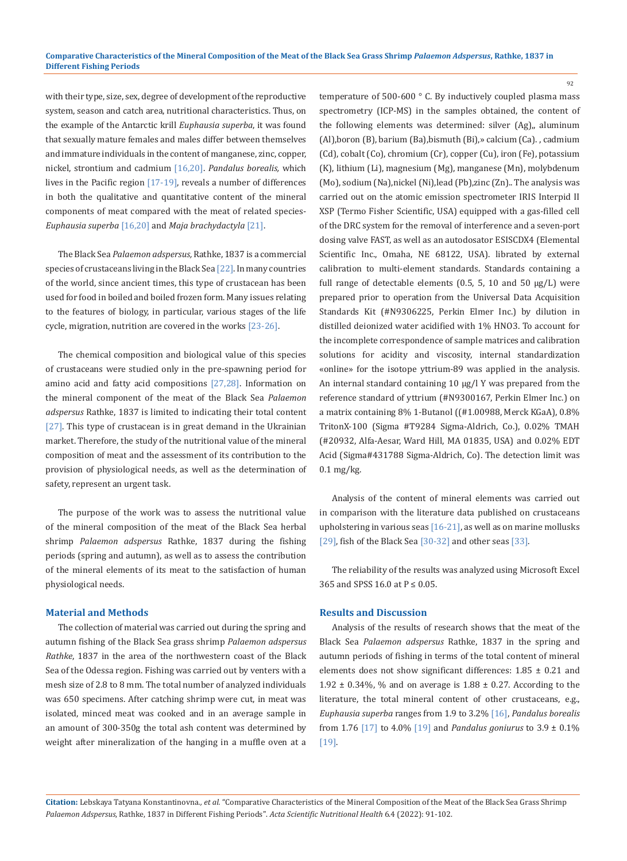with their type, size, sex, degree of development of the reproductive system, season and catch area, nutritional characteristics. Thus, on the example of the Antarctic krill *Euphausia superba*, it was found that sexually mature females and males differ between themselves and immature individuals in the content of manganese, zinc, copper, nickel, strontium and cadmium [16,20]. *Pandalus borealis,* which lives in the Pacific region [17-19], reveals a number of differences in both the qualitative and quantitative content of the mineral components of meat compared with the meat of related species-*Euphausia superba* [16,20] and *Maja brachydactyla* [21].

The Black Sea *Palaemon adspersus,* Rathke, 1837 is a commercial species of crustaceans living in the Black Sea [22]. In many countries of the world, since ancient times, this type of crustacean has been used for food in boiled and boiled frozen form. Many issues relating to the features of biology, in particular, various stages of the life cycle, migration, nutrition are covered in the works [23-26].

The chemical composition and biological value of this species of crustaceans were studied only in the pre-spawning period for amino acid and fatty acid compositions [27,28]. Information on the mineral component of the meat of the Black Sea *Palaemon adspersus* Rathke, 1837 is limited to indicating their total content [27]. This type of crustacean is in great demand in the Ukrainian market. Therefore, the study of the nutritional value of the mineral composition of meat and the assessment of its contribution to the provision of physiological needs, as well as the determination of safety, represent an urgent task.

The purpose of the work was to assess the nutritional value of the mineral composition of the meat of the Black Sea herbal shrimp *Palaemon adspersus* Rathke, 1837 during the fishing periods (spring and autumn), as well as to assess the contribution of the mineral elements of its meat to the satisfaction of human physiological needs.

## **Material and Methods**

The collection of material was carried out during the spring and autumn fishing of the Black Sea grass shrimp *Palaemon adspersus Rathke*, 1837 in the area of the northwestern coast of the Black Sea of the Odessa region. Fishing was carried out by venters with a mesh size of 2.8 to 8 mm. The total number of analyzed individuals was 650 specimens. After catching shrimp were cut, in meat was isolated, minced meat was cooked and in an average sample in an amount of 300-350g the total ash content was determined by weight after mineralization of the hanging in a muffle oven at a temperature of 500-600 ° C. By inductively coupled plasma mass spectrometry (ICP-MS) in the samples obtained, the content of the following elements was determined: silver (Ag),, aluminum (Al),boron (B), barium (Ba),bismuth (Bi),» calcium (Ca). , cadmium (Cd), cobalt (Co), chromium (Cr), copper (Cu), iron (Fe), potassium (K), lithium (Li), magnesium (Mg), manganese (Mn), molybdenum (Mo), sodium (Na),nickel (Ni),lead (Pb),zinc (Zn).. The analysis was carried out on the atomic emission spectrometer IRIS Interpid II XSP (Termo Fisher Scientific, USA) equipped with a gas-filled cell of the DRC system for the removal of interference and a seven-port dosing valve FAST, as well as an autodosator ESISCDX4 (Elemental Scientific Inc., Omaha, NE 68122, USA). librated by external calibration to multi-element standards. Standards containing a full range of detectable elements (0.5, 5, 10 and 50  $\mu$ g/L) were prepared prior to operation from the Universal Data Acquisition Standards Kit (#N9306225, Perkin Elmer Inc.) by dilution in distilled deionized water acidified with 1% HNO3. To account for the incomplete correspondence of sample matrices and calibration solutions for acidity and viscosity, internal standardization «online» for the isotope yttrium-89 was applied in the analysis. An internal standard containing 10 μg/l Y was prepared from the reference standard of yttrium (#N9300167, Perkin Elmer Inc.) on a matrix containing 8% 1-Butanol ((#1.00988, Merck KGaA), 0.8% TritonX-100 (Sigma #T9284 Sigma-Aldrich, Co.), 0.02% TMAH (#20932, Alfa-Aesar, Ward Hill, MA 01835, USA) and 0.02% EDT Acid (Sigma#431788 Sigma-Aldrich, Co). The detection limit was 0.1 mg/kg.

Analysis of the content of mineral elements was carried out in comparison with the literature data published on crustaceans upholstering in various seas [16-21], as well as on marine mollusks [29], fish of the Black Sea [30-32] and other seas [33].

The reliability of the results was analyzed using Microsoft Excel 365 and SPSS 16.0 at  $P \le 0.05$ .

## **Results and Discussion**

Analysis of the results of research shows that the meat of the Black Sea *Palaemon adspersus* Rathke, 1837 in the spring and autumn periods of fishing in terms of the total content of mineral elements does not show significant differences: 1.85 ± 0.21 and 1.92  $\pm$  0.34%, % and on average is 1.88  $\pm$  0.27. According to the literature, the total mineral content of other crustaceans, e.g., *Euphausia superba* ranges from 1.9 to 3.2% [16], *Pandalus borealis*  from 1.76 [17] to 4.0% [19] and *Pandalus goniurus* to 3.9 ± 0.1% [19].

**Citation:** Lebskaya Tatyana Konstantinovna*., et al.* "Comparative Characteristics of the Mineral Composition of the Meat of the Black Sea Grass Shrimp *Palaemon Adspersus*, Rathke, 1837 in Different Fishing Periods". *Acta Scientific Nutritional Health* 6.4 (2022): 91-102.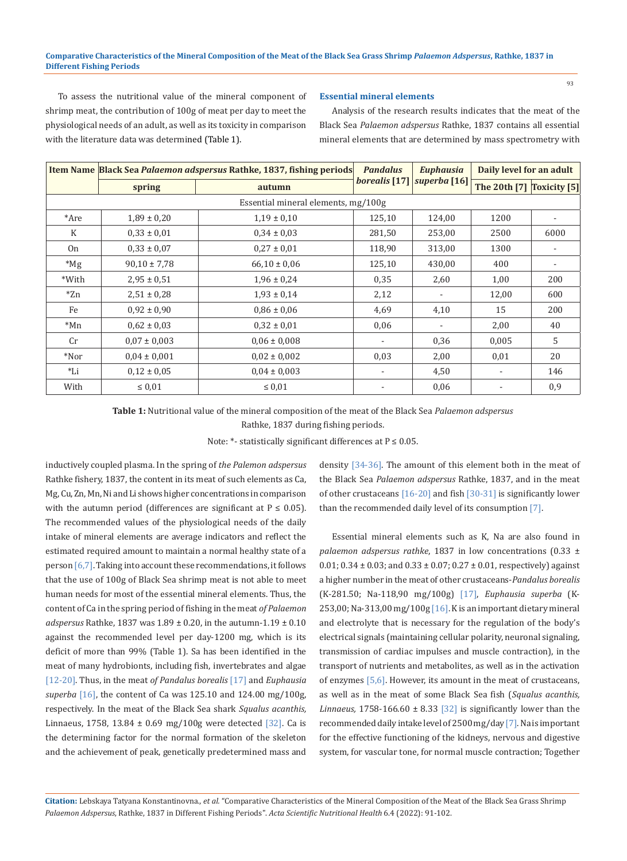## **Comparative Characteristics of the Mineral Composition of the Meat of the Black Sea Grass Shrimp** *Palaemon Adspersus***, Rathke, 1837 in Different Fishing Periods**

To assess the nutritional value of the mineral component of shrimp meat, the contribution of 100g of meat per day to meet the physiological needs of an adult, as well as its toxicity in comparison with the literature data was determined (Table 1).

#### **Essential mineral elements**

Analysis of the research results indicates that the meat of the Black Sea *Palaemon adspersus* Rathke, 1837 contains all essential mineral elements that are determined by mass spectrometry with

|                                     |                  | Item Name Black Sea Palaemon adspersus Rathke, 1837, fishing periods | <b>Pandalus</b> | <b>Euphausia</b>             | Daily level for an adult             |      |  |  |
|-------------------------------------|------------------|----------------------------------------------------------------------|-----------------|------------------------------|--------------------------------------|------|--|--|
|                                     | spring           | autumn                                                               |                 | borealis [17]   superba [16] | The 20th [7] $\sqrt{2}$ Toxicity [5] |      |  |  |
| Essential mineral elements, mg/100g |                  |                                                                      |                 |                              |                                      |      |  |  |
| *Are                                | $1,89 \pm 0,20$  | $1,19 \pm 0,10$                                                      | 125,10          | 124,00                       | 1200                                 |      |  |  |
| K                                   | $0.33 \pm 0.01$  | $0.34 \pm 0.03$                                                      | 281,50          | 253,00                       | 2500                                 | 6000 |  |  |
| 0 <sub>n</sub>                      | $0.33 \pm 0.07$  | $0.27 \pm 0.01$                                                      | 118,90          | 313,00                       | 1300                                 |      |  |  |
| $*_{\rm Mg}$                        | $90,10 \pm 7,78$ | $66,10 \pm 0,06$                                                     | 125,10          | 430,00                       | 400                                  |      |  |  |
| *With                               | $2,95 \pm 0.51$  | $1,96 \pm 0,24$                                                      | 0,35            | 2,60                         | 1,00                                 | 200  |  |  |
| $*Zn$                               | $2,51 \pm 0,28$  | $1,93 \pm 0,14$                                                      | 2,12            |                              | 12,00                                | 600  |  |  |
| Fe                                  | $0.92 \pm 0.90$  | $0.86 \pm 0.06$                                                      | 4,69            | 4,10                         | 15                                   | 200  |  |  |
| $*Mn$                               | $0.62 \pm 0.03$  | $0.32 \pm 0.01$                                                      | 0,06            |                              | 2,00                                 | 40   |  |  |
| Cr                                  | $0.07 \pm 0.003$ | $0.06 \pm 0.008$                                                     |                 | 0,36                         | 0,005                                | 5    |  |  |
| $*$ Nor                             | $0.04 \pm 0.001$ | $0.02 \pm 0.002$                                                     | 0.03            | 2,00                         | 0,01                                 | 20   |  |  |
| $L_{\rm Li}$                        | $0.12 \pm 0.05$  | $0.04 \pm 0.003$                                                     |                 | 4,50                         |                                      | 146  |  |  |
| With                                | $\leq 0.01$      | $\leq 0.01$                                                          |                 | 0,06                         |                                      | 0,9  |  |  |

**Table 1:** Nutritional value of the mineral composition of the meat of the Black Sea *Palaemon adspersus*

Rathke, 1837 during fishing periods.

Note: \*- statistically significant differences at  $P \le 0.05$ .

inductively coupled plasma. In the spring of *the Palemon adspersus*  Rathke fishery, 1837, the content in its meat of such elements as Ca, Mg, Cu, Zn, Mn, Ni and Li shows higher concentrations in comparison with the autumn period (differences are significant at  $P \le 0.05$ ). The recommended values of the physiological needs of the daily intake of mineral elements are average indicators and reflect the estimated required amount to maintain a normal healthy state of a person [6,7]. Taking into account these recommendations, it follows that the use of 100g of Black Sea shrimp meat is not able to meet human needs for most of the essential mineral elements. Thus, the content of Ca in the spring period of fishing in the meat *of Palaemon adspersus* Rathke, 1837 was 1.89 ± 0.20, in the autumn-1.19 ± 0.10 against the recommended level per day-1200 mg, which is its deficit of more than 99% (Table 1). Sa has been identified in the meat of many hydrobionts, including fish, invertebrates and algae [12-20]. Thus, in the meat *of Pandalus borealis* [17] and *Euphausia superba* [16], the content of Ca was 125.10 and 124.00 mg/100g, respectively. In the meat of the Black Sea shark *Squalus acanthis,* Linnaeus, 1758, 13.84  $\pm$  0.69 mg/100g were detected [32]. Ca is the determining factor for the normal formation of the skeleton and the achievement of peak, genetically predetermined mass and

density [34-36]. The amount of this element both in the meat of the Black Sea *Palaemon adspersus* Rathke, 1837, and in the meat of other crustaceans [16-20] and fish [30-31] is significantly lower than the recommended daily level of its consumption [7].

Essential mineral elements such as K, Na are also found in *palaemon adspersus rathke*, 1837 in low concentrations (0.33 ± 0.01;  $0.34 \pm 0.03$ ; and  $0.33 \pm 0.07$ ;  $0.27 \pm 0.01$ , respectively) against a higher number in the meat of other crustaceans-*Pandalus borealis* (K-281.50; Na-118,90 mg/100g) [17], *Euphausia superba* (K-253,00; Na-313,00 mg/100g [16]. K is an important dietary mineral and electrolyte that is necessary for the regulation of the body's electrical signals (maintaining cellular polarity, neuronal signaling, transmission of cardiac impulses and muscle contraction), in the transport of nutrients and metabolites, as well as in the activation of enzymes [5,6]. However, its amount in the meat of crustaceans, as well as in the meat of some Black Sea fish (*Squalus acanthis, Linnaeus,* 1758-166.60  $\pm$  8.33 [32] is significantly lower than the recommended daily intake level of 2500 mg/day [7]. Na is important for the effective functioning of the kidneys, nervous and digestive system, for vascular tone, for normal muscle contraction; Together

**Citation:** Lebskaya Tatyana Konstantinovna*., et al.* "Comparative Characteristics of the Mineral Composition of the Meat of the Black Sea Grass Shrimp *Palaemon Adspersus*, Rathke, 1837 in Different Fishing Periods". *Acta Scientific Nutritional Health* 6.4 (2022): 91-102.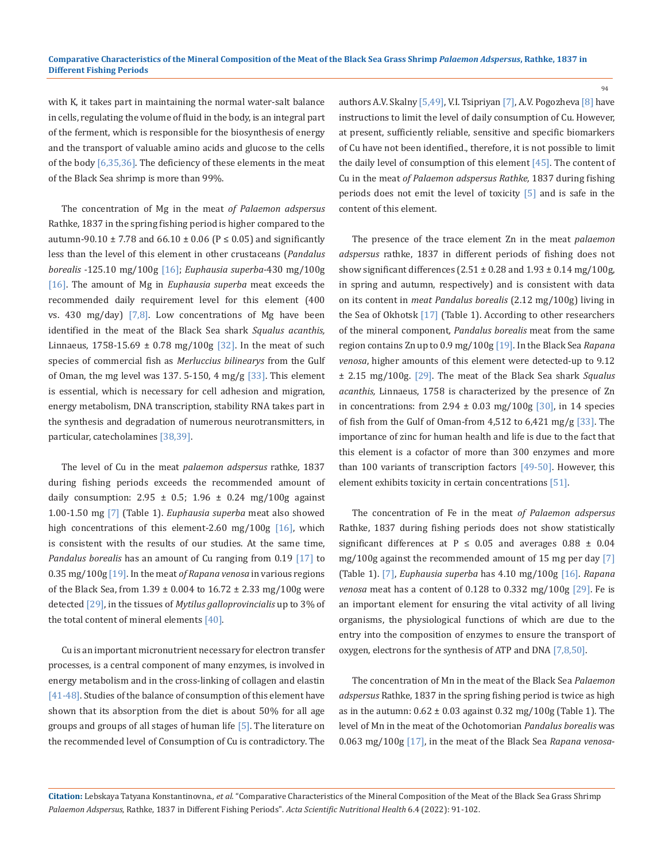with K, it takes part in maintaining the normal water-salt balance in cells, regulating the volume of fluid in the body, is an integral part of the ferment, which is responsible for the biosynthesis of energy and the transport of valuable amino acids and glucose to the cells of the body  $[6,35,36]$ . The deficiency of these elements in the meat of the Black Sea shrimp is more than 99%.

The concentration of Mg in the meat *of Palaemon adspersus*  Rathke, 1837 in the spring fishing period is higher compared to the autumn-90.10 ± 7.78 and  $66.10 \pm 0.06$  (P ≤ 0.05) and significantly less than the level of this element in other crustaceans (*Pandalus borealis -*125.10 mg/100g [16]; *Euphausia superba-*430 mg/100g [16]. The amount of Mg in *Euphausia superba* meat exceeds the recommended daily requirement level for this element (400 vs. 430 mg/day)  $[7,8]$ . Low concentrations of Mg have been identified in the meat of the Black Sea shark *Squalus acanthis,*  Linnaeus, 1758-15.69  $\pm$  0.78 mg/100g [32]. In the meat of such species of commercial fish as *Merluccius bilinearys* from the Gulf of Oman, the mg level was 137. 5-150, 4 mg/g  $[33]$ . This element is essential, which is necessary for cell adhesion and migration, energy metabolism, DNA transcription, stability RNA takes part in the synthesis and degradation of numerous neurotransmitters, in particular, catecholamines [38,39].

The level of Cu in the meat *palaemon adspersus* rathke*,* 1837 during fishing periods exceeds the recommended amount of daily consumption:  $2.95 \pm 0.5$ ;  $1.96 \pm 0.24$  mg/100g against 1.00-1.50 mg [7] (Table 1). *Euphausia superba* meat also showed high concentrations of this element-2.60 mg/100g  $[16]$ , which is consistent with the results of our studies. At the same time, *Pandalus borealis* has an amount of Cu ranging from 0.19 [17] to 0.35 mg/100g [19]. In the meat *of Rapana venosa* in various regions of the Black Sea, from  $1.39 \pm 0.004$  to  $16.72 \pm 2.33$  mg/100g were detected [29], in the tissues of *Mytilus galloprovincialis* up to 3% of the total content of mineral elements [40].

Cu is an important micronutrient necessary for electron transfer processes, is a central component of many enzymes, is involved in energy metabolism and in the cross-linking of collagen and elastin [41-48]. Studies of the balance of consumption of this element have shown that its absorption from the diet is about 50% for all age groups and groups of all stages of human life [5]. The literature on the recommended level of Consumption of Cu is contradictory. The

authors A.V. Skalny [5,49], V.I. Tsipriyan [7], A.V. Pogozheva [8] have instructions to limit the level of daily consumption of Cu. However, at present, sufficiently reliable, sensitive and specific biomarkers of Cu have not been identified., therefore, it is not possible to limit the daily level of consumption of this element [45]. The content of Cu in the meat *of Palaemon adspersus Rathke,* 1837 during fishing periods does not emit the level of toxicity [5] and is safe in the content of this element.

The presence of the trace element Zn in the meat *palaemon adspersus* rathke, 1837 in different periods of fishing does not show significant differences  $(2.51 \pm 0.28$  and  $1.93 \pm 0.14$  mg/100g, in spring and autumn, respectively) and is consistent with data on its content in *meat Pandalus borealis* (2.12 mg/100g) living in the Sea of Okhotsk [17] (Table 1). According to other researchers of the mineral component*, Pandalus borealis* meat from the same region contains Zn up to 0.9 mg/100g [19]. In the Black Sea *Rapana venosa*, higher amounts of this element were detected-up to 9.12 ± 2.15 mg/100g. [29]. The meat of the Black Sea shark *Squalus acanthis,* Linnaeus, 1758 is characterized by the presence of Zn in concentrations: from 2.94  $\pm$  0.03 mg/100g [30], in 14 species of fish from the Gulf of Oman-from 4,512 to 6,421 mg/g [33]. The importance of zinc for human health and life is due to the fact that this element is a cofactor of more than 300 enzymes and more than 100 variants of transcription factors  $[49-50]$ . However, this element exhibits toxicity in certain concentrations [51].

The concentration of Fe in the meat *of Palaemon adspersus*  Rathke, 1837 during fishing periods does not show statistically significant differences at P  $\leq$  0.05 and averages 0.88  $\pm$  0.04 mg/100g against the recommended amount of 15 mg per day [7] (Table 1). [7], *Euphausia superba* has 4.10 mg/100g [16]. *Rapana venosa* meat has a content of 0.128 to 0.332 mg/100g [29]. Fe is an important element for ensuring the vital activity of all living organisms, the physiological functions of which are due to the entry into the composition of enzymes to ensure the transport of oxygen, electrons for the synthesis of ATP and DNA [7,8,50].

The concentration of Mn in the meat of the Black Sea *Palaemon adspersus* Rathke, 1837 in the spring fishing period is twice as high as in the autumn:  $0.62 \pm 0.03$  against  $0.32$  mg/ $100$ g (Table 1). The level of Mn in the meat of the Ochotomorian *Pandalus borealis* was 0.063 mg/100g [17], in the meat of the Black Sea *Rapana venosa*-

**Citation:** Lebskaya Tatyana Konstantinovna*., et al.* "Comparative Characteristics of the Mineral Composition of the Meat of the Black Sea Grass Shrimp *Palaemon Adspersus*, Rathke, 1837 in Different Fishing Periods". *Acta Scientific Nutritional Health* 6.4 (2022): 91-102.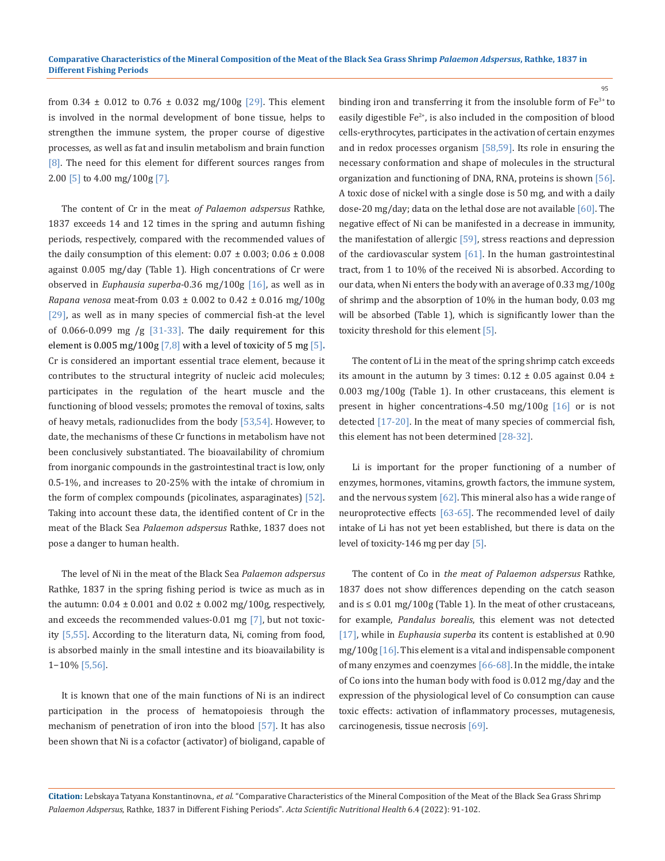from  $0.34 \pm 0.012$  to  $0.76 \pm 0.032$  mg/100g [29]. This element is involved in the normal development of bone tissue, helps to strengthen the immune system, the proper course of digestive processes, as well as fat and insulin metabolism and brain function [8]. The need for this element for different sources ranges from 2.00 [5] to 4.00 mg/100g [7].

The content of Cr in the meat *of Palaemon adspersus* Rathke*,*  1837 exceeds 14 and 12 times in the spring and autumn fishing periods, respectively, compared with the recommended values of the daily consumption of this element:  $0.07 \pm 0.003$ ;  $0.06 \pm 0.008$ against 0.005 mg/day (Table 1). High concentrations of Cr were observed in *Euphausia superba*-0.36 mg/100g [16], as well as in *Rapana venosa* meat-from 0.03 ± 0.002 to 0.42 ± 0.016 mg/100g [29], as well as in many species of commercial fish-at the level of 0.066-0.099 mg /g  $[31-33]$ . The daily requirement for this element is 0.005 mg/100g [7,8] with a level of toxicity of 5 mg [5]**.** Cr is considered an important essential trace element, because it contributes to the structural integrity of nucleic acid molecules; participates in the regulation of the heart muscle and the functioning of blood vessels; promotes the removal of toxins, salts of heavy metals, radionuclides from the body [53,54]. However, to date, the mechanisms of these Cr functions in metabolism have not been conclusively substantiated. The bioavailability of chromium from inorganic compounds in the gastrointestinal tract is low, only 0.5-1%, and increases to 20-25% with the intake of chromium in the form of complex compounds (picolinates, asparaginates) [52]. Taking into account these data, the identified content of Cr in the meat of the Black Sea *Palaemon adspersus* Rathke, 1837 does not pose a danger to human health.

The level of Ni in the meat of the Black Sea *Palaemon adspersus*  Rathke, 1837 in the spring fishing period is twice as much as in the autumn:  $0.04 \pm 0.001$  and  $0.02 \pm 0.002$  mg/100g, respectively, and exceeds the recommended values-0.01 mg [7], but not toxicity [5,55]. According to the literaturn data, Ni, coming from food, is absorbed mainly in the small intestine and its bioavailability is 1−10% [5,56].

It is known that one of the main functions of Ni is an indirect participation in the process of hematopoiesis through the mechanism of penetration of iron into the blood [57]. It has also been shown that Ni is a cofactor (activator) of bioligand, capable of binding iron and transferring it from the insoluble form of Fe<sup>3+</sup> to easily digestible  $Fe^{2+}$ , is also included in the composition of blood cells-erythrocytes, participates in the activation of certain enzymes and in redox processes organism [58,59]. Its role in ensuring the necessary conformation and shape of molecules in the structural organization and functioning of DNA, RNA, proteins is shown [56]. A toxic dose of nickel with a single dose is 50 mg, and with a daily dose-20 mg/day; data on the lethal dose are not available [60]. The negative effect of Ni can be manifested in a decrease in immunity, the manifestation of allergic [59], stress reactions and depression of the cardiovascular system [61]. In the human gastrointestinal tract, from 1 to 10% of the received Ni is absorbed. According to our data, when Ni enters the body with an average of 0.33 mg/100g of shrimp and the absorption of 10% in the human body, 0.03 mg will be absorbed (Table 1), which is significantly lower than the toxicity threshold for this element [5].

95

The content of Li in the meat of the spring shrimp catch exceeds its amount in the autumn by 3 times:  $0.12 \pm 0.05$  against  $0.04 \pm$ 0.003 mg/100g (Table 1). In other crustaceans, this element is present in higher concentrations-4.50 mg/100g [16] or is not detected [17-20]. In the meat of many species of commercial fish, this element has not been determined [28-32].

Li is important for the proper functioning of a number of enzymes, hormones, vitamins, growth factors, the immune system, and the nervous system [62]. This mineral also has a wide range of neuroprotective effects [63-65]. The recommended level of daily intake of Li has not yet been established, but there is data on the level of toxicity-146 mg per day [5].

The content of Co in *the meat of Palaemon adspersus* Rathke*,* 1837 does not show differences depending on the catch season and is  $\leq 0.01$  mg/100g (Table 1). In the meat of other crustaceans, for example, *Pandalus borealis*, this element was not detected [17], while in *Euphausia superba* its content is established at 0.90 mg/100g [16]. This element is a vital and indispensable component of many enzymes and coenzymes [66-68]. In the middle, the intake of Co ions into the human body with food is 0.012 mg/day and the expression of the physiological level of Co consumption can cause toxic effects: activation of inflammatory processes, mutagenesis, carcinogenesis, tissue necrosis [69].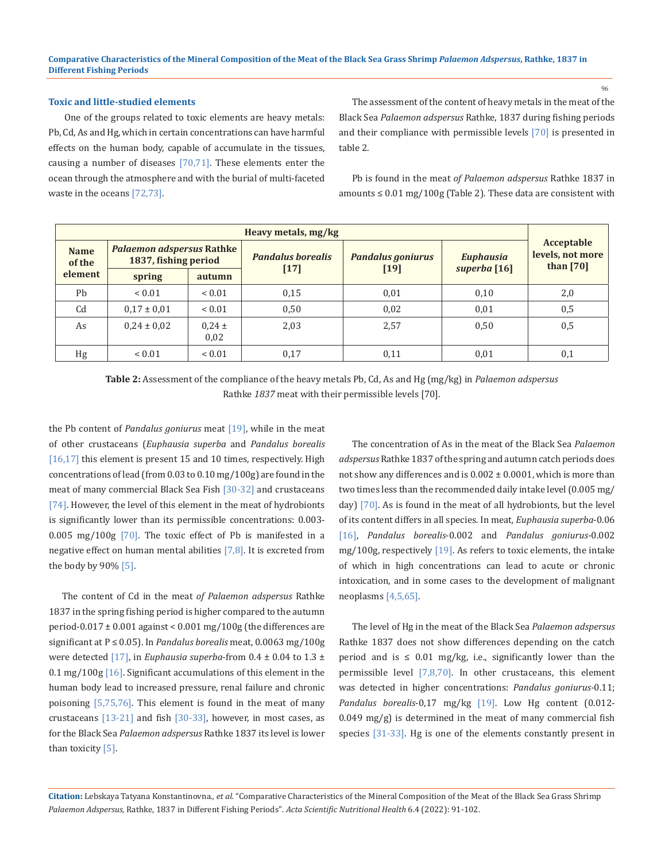## **Toxic and little-studied elements**

 One of the groups related to toxic elements are heavy metals: Pb, Cd, As and Hg, which in certain concentrations can have harmful effects on the human body, capable of accumulate in the tissues, causing a number of diseases  $[70,71]$ . These elements enter the ocean through the atmosphere and with the burial of multi-faceted waste in the oceans [72,73].

The assessment of the content of heavy metals in the meat of the Black Sea *Palaemon adspersus* Rathke, 1837 during fishing periods and their compliance with permissible levels [70] is presented in table 2.

Pb is found in the meat *of Palaemon adspersus* Rathke 1837 in amounts  $\leq 0.01$  mg/100g (Table 2). These data are consistent with

| Heavy metals, mg/kg   |                                                          |                    |                          |                          |                  |                                               |  |
|-----------------------|----------------------------------------------------------|--------------------|--------------------------|--------------------------|------------------|-----------------------------------------------|--|
| <b>Name</b><br>of the | <b>Palaemon adspersus Rathke</b><br>1837, fishing period |                    | <b>Pandalus borealis</b> | <b>Pandalus goniurus</b> | <b>Euphausia</b> | Acceptable<br>levels, not more<br>than $[70]$ |  |
| element               | spring                                                   | autumn             | $[17]$                   | [19]                     | superba [16]     |                                               |  |
| Ph                    | ${}_{0.01}$                                              | ${}< 0.01$         | 0,15                     | 0,01                     | 0,10             | 2,0                                           |  |
| C <sub>d</sub>        | $0.17 \pm 0.01$                                          | ${}< 0.01$         | 0,50                     | 0,02                     | 0,01             | 0,5                                           |  |
| As                    | $0.24 \pm 0.02$                                          | $0.24 \pm$<br>0,02 | 2,03                     | 2,57                     | 0,50             | 0,5                                           |  |
| Hg                    | ${}< 0.01$                                               | ${}< 0.01$         | 0,17                     | 0,11                     | 0,01             | 0,1                                           |  |

**Table 2:** Assessment of the compliance of the heavy metals Pb, Cd, As and Hg (mg/kg) in *Palaemon adspersus*  Rathke *1837* meat with their permissible levels [70].

the Pb content of *Pandalus goniurus* meat [19], while in the meat of other crustaceans (*Euphausia superba* and *Pandalus borealis* [16,17] this element is present 15 and 10 times, respectively. High concentrations of lead (from 0.03 to 0.10 mg/100g) are found in the meat of many commercial Black Sea Fish [30-32] and crustaceans [74]. However, the level of this element in the meat of hydrobionts is significantly lower than its permissible concentrations: 0.003- 0.005 mg/100g [70]. The toxic effect of Pb is manifested in a negative effect on human mental abilities  $[7,8]$ . It is excreted from the body by 90% [5].

The content of Cd in the meat *of Palaemon adspersus* Rathke 1837 in the spring fishing period is higher compared to the autumn period-0.017 ± 0.001 against < 0.001 mg/100g (the differences are significant at P ≤ 0.05). In *Pandalus borealis* meat, 0.0063 mg/100g were detected [17], in *Euphausia superba*-from 0.4 ± 0.04 to 1.3 ± 0.1 mg/100g  $[16]$ . Significant accumulations of this element in the human body lead to increased pressure, renal failure and chronic poisoning [5,75,76]. This element is found in the meat of many crustaceans [13-21] and fish [30-33], however, in most cases, as for the Black Sea *Palaemon adspersus* Rathke 1837 its level is lower than toxicity [5].

The concentration of As in the meat of the Black Sea *Palaemon adspersus* Rathke 1837 of the spring and autumn catch periods does not show any differences and is  $0.002 \pm 0.0001$ , which is more than two times less than the recommended daily intake level (0.005 mg/ day) [70]. As is found in the meat of all hydrobionts, but the level of its content differs in all species. In meat*, Euphausia superba*-0.06 [16], *Pandalus borealis*-0.002 and *Pandalus goniurus*-0.002 mg/100g, respectively  $[19]$ . As refers to toxic elements, the intake of which in high concentrations can lead to acute or chronic intoxication, and in some cases to the development of malignant neoplasms [4,5,65].

The level of Hg in the meat of the Black Sea *Palaemon adspersus*  Rathke 1837 does not show differences depending on the catch period and is  $\leq$  0.01 mg/kg, i.e., significantly lower than the permissible level [7,8,70]. In other crustaceans, this element was detected in higher concentrations: *Pandalus goniurus-*0.11; *Pandalus borealis*-0,17 mg/kg [19]. Low Hg content (0.012-  $0.049$  mg/g) is determined in the meat of many commercial fish species [31-33]. Hg is one of the elements constantly present in

**Citation:** Lebskaya Tatyana Konstantinovna*., et al.* "Comparative Characteristics of the Mineral Composition of the Meat of the Black Sea Grass Shrimp *Palaemon Adspersus*, Rathke, 1837 in Different Fishing Periods". *Acta Scientific Nutritional Health* 6.4 (2022): 91-102.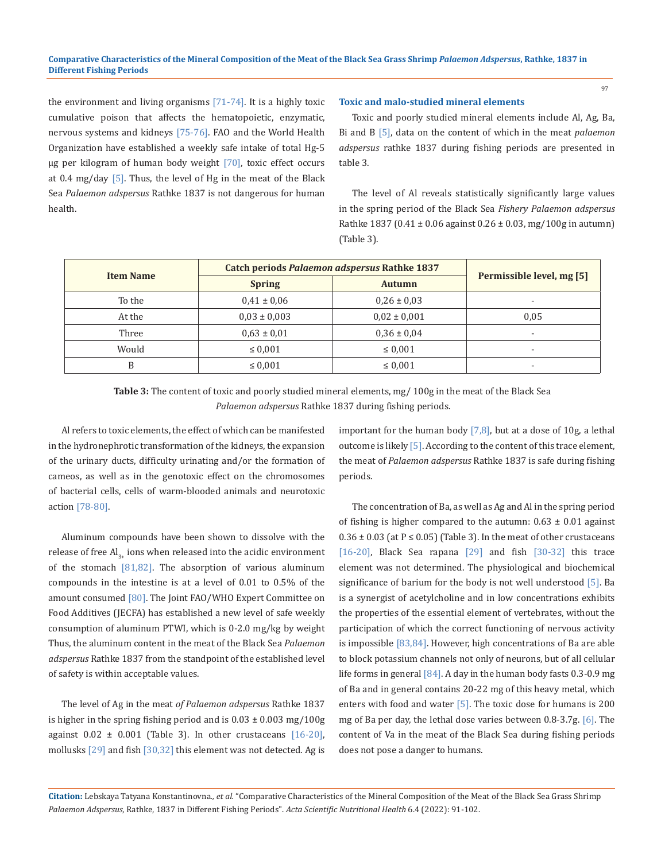the environment and living organisms  $[71-74]$ . It is a highly toxic cumulative poison that affects the hematopoietic, enzymatic, nervous systems and kidneys [75-76]. FAO and the World Health Organization have established a weekly safe intake of total Hg-5 μg per kilogram of human body weight [70], toxic effect occurs at 0.4 mg/day [5]. Thus, the level of Hg in the meat of the Black Sea *Palaemon adspersus* Rathke 1837 is not dangerous for human health.

#### **Toxic and malo-studied mineral elements**

Toxic and poorly studied mineral elements include Al, Ag, Ba, Bi and B [5], data on the content of which in the meat *palaemon adspersus* rathke 1837 during fishing periods are presented in table 3.

The level of Al reveals statistically significantly large values in the spring period of the Black Sea *Fishery Palaemon adspersus*  Rathke 1837 (0.41 ± 0.06 against 0.26 ± 0.03, mg/100g in autumn) (Table 3).

|                  | <b>Catch periods Palaemon adspersus Rathke 1837</b> |                  |                           |
|------------------|-----------------------------------------------------|------------------|---------------------------|
| <b>Item Name</b> | <b>Spring</b>                                       | <b>Autumn</b>    | Permissible level, mg [5] |
| To the           | $0.41 \pm 0.06$                                     | $0.26 \pm 0.03$  | $\overline{\phantom{0}}$  |
| At the           | $0.03 \pm 0.003$                                    | $0.02 \pm 0.001$ | 0.05                      |
| Three            | $0.63 \pm 0.01$                                     | $0.36 \pm 0.04$  | $\overline{\phantom{a}}$  |
| Would            | $\leq 0.001$                                        | $\leq 0.001$     | $\overline{a}$            |
| B                | $\leq 0.001$                                        | $\leq 0.001$     | ۰                         |

**Table 3:** The content of toxic and poorly studied mineral elements, mg/ 100g in the meat of the Black Sea *Palaemon adspersus* Rathke 1837 during fishing periods.

Al refers to toxic elements, the effect of which can be manifested in the hydronephrotic transformation of the kidneys, the expansion of the urinary ducts, difficulty urinating and/or the formation of cameos, as well as in the genotoxic effect on the chromosomes of bacterial cells, cells of warm-blooded animals and neurotoxic action [78-80].

Aluminum compounds have been shown to dissolve with the release of free  $AI_{2+}$  ions when released into the acidic environment of the stomach [81,82]. The absorption of various aluminum compounds in the intestine is at a level of 0.01 to 0.5% of the amount consumed [80]. The Joint FAO/WHO Expert Committee on Food Additives (JECFA) has established a new level of safe weekly consumption of aluminum PTWI, which is 0-2.0 mg/kg by weight Thus, the aluminum content in the meat of the Black Sea *Palaemon adspersus* Rathke 1837 from the standpoint of the established level of safety is within acceptable values.

The level of Ag in the meat *of Palaemon adspersus* Rathke 1837 is higher in the spring fishing period and is  $0.03 \pm 0.003$  mg/100g against  $0.02 \pm 0.001$  (Table 3). In other crustaceans  $[16-20]$ , mollusks [29] and fish [30,32] this element was not detected. Ag is important for the human body  $[7,8]$ , but at a dose of 10g, a lethal outcome is likely [5]. According to the content of this trace element, the meat of *Palaemon adspersus* Rathke 1837 is safe during fishing periods.

The concentration of Ba, as well as Ag and Al in the spring period of fishing is higher compared to the autumn:  $0.63 \pm 0.01$  against  $0.36 \pm 0.03$  (at P  $\leq 0.05$ ) (Table 3). In the meat of other crustaceans [16-20], Black Sea rapana [29] and fish [30-32] this trace element was not determined. The physiological and biochemical significance of barium for the body is not well understood [5]. Ba is a synergist of acetylcholine and in low concentrations exhibits the properties of the essential element of vertebrates, without the participation of which the correct functioning of nervous activity is impossible [83,84]. However, high concentrations of Ba are able to block potassium channels not only of neurons, but of all cellular life forms in general [84]. A day in the human body fasts 0.3-0.9 mg of Ba and in general contains 20-22 mg of this heavy metal, which enters with food and water [5]. The toxic dose for humans is 200 mg of Ba per day, the lethal dose varies between 0.8-3.7g. [6]. The content of Va in the meat of the Black Sea during fishing periods does not pose a danger to humans.

**Citation:** Lebskaya Tatyana Konstantinovna*., et al.* "Comparative Characteristics of the Mineral Composition of the Meat of the Black Sea Grass Shrimp *Palaemon Adspersus*, Rathke, 1837 in Different Fishing Periods". *Acta Scientific Nutritional Health* 6.4 (2022): 91-102.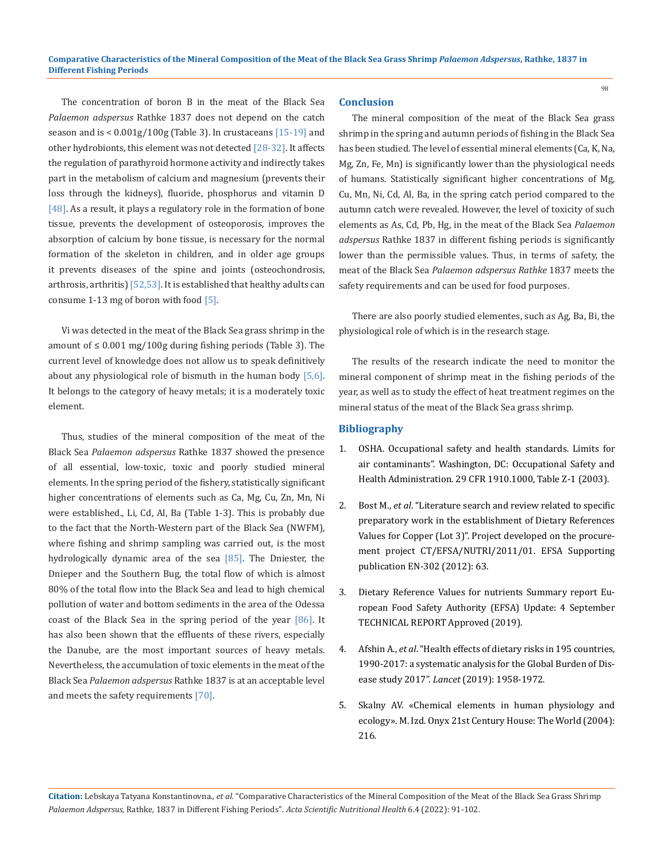The concentration of boron B in the meat of the Black Sea *Palaemon adspersus* Rathke 1837 does not depend on the catch season and is <  $0.001$ g/ $100$ g (Table 3). In crustaceans  $[15-19]$  and other hydrobionts, this element was not detected [28-32]. It affects the regulation of parathyroid hormone activity and indirectly takes part in the metabolism of calcium and magnesium (prevents their loss through the kidneys), fluoride, phosphorus and vitamin D [48]. As a result, it plays a regulatory role in the formation of bone tissue, prevents the development of osteoporosis, improves the absorption of calcium by bone tissue, is necessary for the normal formation of the skeleton in children, and in older age groups it prevents diseases of the spine and joints (osteochondrosis, arthrosis, arthritis)  $[52,53]$ . It is established that healthy adults can consume 1-13 mg of boron with food  $[5]$ .

Vi was detected in the meat of the Black Sea grass shrimp in the amount of  $\leq 0.001$  mg/100g during fishing periods (Table 3). The current level of knowledge does not allow us to speak definitively about any physiological role of bismuth in the human body [5,6]. It belongs to the category of heavy metals; it is a moderately toxic element.

Thus, studies of the mineral composition of the meat of the Black Sea *Palaemon adspersus* Rathke 1837 showed the presence of all essential, low-toxic, toxic and poorly studied mineral elements. In the spring period of the fishery, statistically significant higher concentrations of elements such as Ca, Mg, Cu, Zn, Mn, Ni were established., Li, Cd, Al, Ba (Table 1-3). This is probably due to the fact that the North-Western part of the Black Sea (NWFM), where fishing and shrimp sampling was carried out, is the most hydrologically dynamic area of the sea [85]. The Dniester, the Dnieper and the Southern Bug, the total flow of which is almost 80% of the total flow into the Black Sea and lead to high chemical pollution of water and bottom sediments in the area of the Odessa coast of the Black Sea in the spring period of the year [86]. It has also been shown that the effluents of these rivers, especially the Danube, are the most important sources of heavy metals. Nevertheless, the accumulation of toxic elements in the meat of the Black Sea *Palaemon adspersus* Rathke 1837 is at an acceptable level and meets the safety requirements [70].

## **Conclusion**

The mineral composition of the meat of the Black Sea grass shrimp in the spring and autumn periods of fishing in the Black Sea has been studied. The level of essential mineral elements (Ca, K, Na, Mg, Zn, Fe, Mn) is significantly lower than the physiological needs of humans. Statistically significant higher concentrations of Mg, Cu, Mn, Ni, Cd, Al, Ba, in the spring catch period compared to the autumn catch were revealed. However, the level of toxicity of such elements as As, Cd, Pb, Hg, in the meat of the Black Sea *Palaemon adspersus* Rathke 1837 in different fishing periods is significantly lower than the permissible values. Thus, in terms of safety, the meat of the Black Sea *Palaemon adspersus Rathke* 1837 meets the safety requirements and can be used for food purposes.

There are also poorly studied elementes, such as Ag, Ba, Bi, the physiological role of which is in the research stage.

The results of the research indicate the need to monitor the mineral component of shrimp meat in the fishing periods of the year, as well as to study the effect of heat treatment regimes on the mineral status of the meat of the Black Sea grass shrimp.

## **Bibliography**

- 1. [OSHA. Occupational safety and health standards. Limits for](https://www.osha.gov/ergonomics)  [air contaminants". Washington, DC: Occupational Safety and](https://www.osha.gov/ergonomics)  [Health Administration. 29 CFR 1910.1000, Table Z-1 \(2003\).](https://www.osha.gov/ergonomics)
- 2. Bost M., *et al*[. "Literature search and review related to specific](https://www.efsa.europa.eu/en/supporting/pub/en-302)  [preparatory work in the establishment of Dietary References](https://www.efsa.europa.eu/en/supporting/pub/en-302)  [Values for Copper \(Lot 3\)". Project developed on the procure](https://www.efsa.europa.eu/en/supporting/pub/en-302)[ment project CT/EFSA/NUTRI/2011/01. EFSA Supporting](https://www.efsa.europa.eu/en/supporting/pub/en-302)  [publication EN-302 \(2012\): 63.](https://www.efsa.europa.eu/en/supporting/pub/en-302)
- 3. [Dietary Reference Values for nutrients Summary report Eu](https://www.efsa.europa.eu/en/supporting/pub/e15121)[ropean Food Safety Authority \(EFSA\) Update: 4 September](https://www.efsa.europa.eu/en/supporting/pub/e15121)  [TECHNICAL REPORT Approved \(2019\).](https://www.efsa.europa.eu/en/supporting/pub/e15121)
- 4. Afshin A., *et al*[. "Health effects of dietary risks in 195 countries,](https://pubmed.ncbi.nlm.nih.gov/30954305/)  [1990-2017: a systematic analysis for the Global Burden of Dis](https://pubmed.ncbi.nlm.nih.gov/30954305/)ease study 2017". *Lancet* [\(2019\): 1958-1972.](https://pubmed.ncbi.nlm.nih.gov/30954305/)
- 5. Skalny AV. «Chemical elements in human physiology and ecology». M. Izd. Onyx 21st Century House: The World (2004): 216.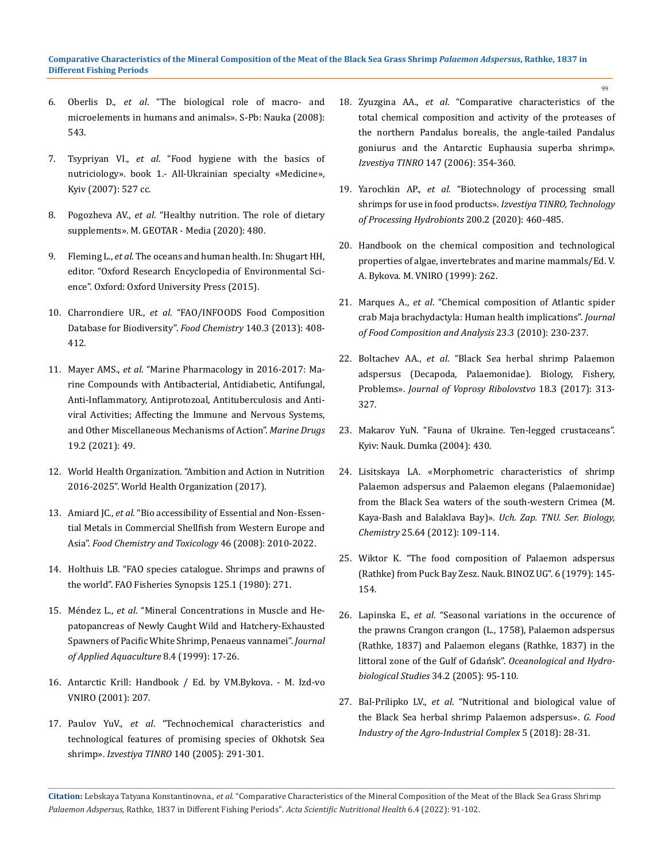- 6. Oberlis D., *et al*. "The biological role of macro- and microelements in humans and animals». S-Pb: Nauka (2008): 543.
- 7. Tsypriyan VI., *et al*. "Food hygiene with the basics of nutriciology». book 1.- All-Ukrainian specialty «Medicine», Kyiv (2007): 527 cc.
- 8. Pogozheva AV., *et al*. "Healthy nutrition. The role of dietary supplements». M. GEOTAR - Media (2020): 480.
- 9. Fleming L., *et al*[. The oceans and human health. In: Shugart HH,](https://global.oup.com/academic/product/oxford-research-encyclopedias-environmental-science-9780199389414?cc=in&lang=en&)  [editor. "Oxford Research Encyclopedia of Environmental Sci](https://global.oup.com/academic/product/oxford-research-encyclopedias-environmental-science-9780199389414?cc=in&lang=en&)[ence". Oxford: Oxford University Press \(2015\).](https://global.oup.com/academic/product/oxford-research-encyclopedias-environmental-science-9780199389414?cc=in&lang=en&)
- 10. Charrondiere UR., *et al*[. "FAO/INFOODS Food Composition](https://www.fao.org/documents/card/en/c/c180b4a6-5256-58ff-9f38-1d624ede8e27/)  [Database for Biodiversity".](https://www.fao.org/documents/card/en/c/c180b4a6-5256-58ff-9f38-1d624ede8e27/) *Food Chemistry* 140.3 (2013): 408- [412.](https://www.fao.org/documents/card/en/c/c180b4a6-5256-58ff-9f38-1d624ede8e27/)
- 11. Mayer AMS., *et al*[. "Marine Pharmacology in 2016-2017: Ma](https://pubmed.ncbi.nlm.nih.gov/33494402/)[rine Compounds with Antibacterial, Antidiabetic, Antifungal,](https://pubmed.ncbi.nlm.nih.gov/33494402/)  [Anti-Inflammatory, Antiprotozoal, Antituberculosis and Anti](https://pubmed.ncbi.nlm.nih.gov/33494402/)[viral Activities; Affecting the Immune and Nervous Systems,](https://pubmed.ncbi.nlm.nih.gov/33494402/)  [and Other Miscellaneous Mechanisms of Action".](https://pubmed.ncbi.nlm.nih.gov/33494402/) *Marine Drugs* [19.2 \(2021\): 49.](https://pubmed.ncbi.nlm.nih.gov/33494402/)
- 12. [World Health Organization. "Ambition and Action in Nutrition](https://www.who.int/publications/i/item/9789241512435)  [2016-2025". World Health Organization \(2017\).](https://www.who.int/publications/i/item/9789241512435)
- 13. Amiard JC., *et al*[. "Bio accessibility of Essential and Non-Essen](https://pubmed.ncbi.nlm.nih.gov/18329777/)[tial Metals in Commercial Shellfish from Western Europe and](https://pubmed.ncbi.nlm.nih.gov/18329777/)  Asia". *[Food Chemistry and Toxicology](https://pubmed.ncbi.nlm.nih.gov/18329777/)* 46 (2008): 2010-2022.
- 14. [Holthuis LB. "FAO species catalogue. Shrimps and prawns of](https://www.fao.org/publications/card/en/c/55189508-7f02-54fa-aeeb-b7c881c31963/)  [the world". FAO Fisheries Synopsis 125.1 \(1980\): 271.](https://www.fao.org/publications/card/en/c/55189508-7f02-54fa-aeeb-b7c881c31963/)
- 15. Méndez L., *et al*[. "Mineral Concentrations in Muscle and He](https://www.researchgate.net/publication/233335225_Mineral_Concentrations_in_Muscle_and_Hepatopancreas_of_Newly_Caught_Wild_and_Hatchery-Exhausted_Spawners_of_Pacific_White_Shrimp_Penaeus_vannamei)[patopancreas of Newly Caught Wild and Hatchery-Exhausted](https://www.researchgate.net/publication/233335225_Mineral_Concentrations_in_Muscle_and_Hepatopancreas_of_Newly_Caught_Wild_and_Hatchery-Exhausted_Spawners_of_Pacific_White_Shrimp_Penaeus_vannamei)  [Spawners of Pacific White Shrimp, Penaeus vannamei".](https://www.researchgate.net/publication/233335225_Mineral_Concentrations_in_Muscle_and_Hepatopancreas_of_Newly_Caught_Wild_and_Hatchery-Exhausted_Spawners_of_Pacific_White_Shrimp_Penaeus_vannamei) *Journal of Applied Aquaculture* [8.4 \(1999\): 17-26.](https://www.researchgate.net/publication/233335225_Mineral_Concentrations_in_Muscle_and_Hepatopancreas_of_Newly_Caught_Wild_and_Hatchery-Exhausted_Spawners_of_Pacific_White_Shrimp_Penaeus_vannamei)
- 16. Antarctic Krill: Handbook / Ed. by VM.Bykova. M. Izd-vo VNIRO (2001): 207.
- 17. Paulov YuV., *et al*. "Technochemical characteristics and technological features of promising species of Okhotsk Sea shrimp». *Izvestiya TINRO* 140 (2005): 291-301.
- 18. Zyuzgina AA., *et al*. "Comparative characteristics of the total chemical composition and activity of the proteases of the northern Pandalus borealis, the angle-tailed Pandalus goniurus and the Antarctic Euphausia superba shrimp*». Izvestiya TINRO* 147 (2006): 354-360.
- 19. Yarochkin AP., *et al*. "Biotechnology of processing small shrimps for use in food products». *Izvestiya TINRO, Technology of Processing Hydrobionts* 200.2 (2020): 460-485.
- 20. Handbook on the chemical composition and technological properties of algae, invertebrates and marine mammals/Ed. V. A. Bykova. M. VNIRO (1999): 262.
- 21. Marques А., *et al*[. "Chemical composition of Atlantic spider](https://www.sciencedirect.com/science/article/abs/pii/S0889157510000207)  [crab Maja brachydactyla: Human health implications".](https://www.sciencedirect.com/science/article/abs/pii/S0889157510000207) *Journal [of Food Composition and Analysis](https://www.sciencedirect.com/science/article/abs/pii/S0889157510000207)* 23.3 (2010): 230-237.
- 22. Boltachev AA., *et al*. "Black Sea herbal shrimp Palaemon adspersus (Decapoda, Palaemonidae). Biology, Fishery, Problems». *Journal of Voprosy Ribolovstvo* 18.3 (2017): 313- 327.
- 23. Makarov YuN. "Fauna of Ukraine. Ten-legged crustaceans". Kyiv: Nauk. Dumka (2004): 430.
- 24. Lisitskaya LA. «Morphometric characteristics of shrimp Palaemon adspersus and Palaemon elegans (Palaemonidae) from the Black Sea waters of the south-western Crimea (M. Kaya-Bash and Balaklava Bay)». *Uch. Zap. TNU. Ser. Biology, Chemistry* 25.64 (2012): 109-114.
- 25. Wiktor K. "The food composition of Palaemon adspersus (Rathke) from Puck Bay Zesz. Nauk. BINOZ UG". 6 (1979): 145- 154.
- 26. Lapinska E., *et al*[. "Seasonal variations in the occurence of](https://www.researchgate.net/publication/273447822_Seasonal_variations_in_the_occurence_of_the_prawns_Crangon_crangon_L_1758_Palaemon_adspersus_Rathke_1837_and_Palaemon_elegans_Rathke_1837_in_the_littoral_zone_of_the_Gulf_of_Gdansk)  [the prawns Crangon crangon \(L., 1758\), Palaemon adspersus](https://www.researchgate.net/publication/273447822_Seasonal_variations_in_the_occurence_of_the_prawns_Crangon_crangon_L_1758_Palaemon_adspersus_Rathke_1837_and_Palaemon_elegans_Rathke_1837_in_the_littoral_zone_of_the_Gulf_of_Gdansk)  [\(Rathke, 1837\) and Palaemon elegans \(Rathke, 1837\) in the](https://www.researchgate.net/publication/273447822_Seasonal_variations_in_the_occurence_of_the_prawns_Crangon_crangon_L_1758_Palaemon_adspersus_Rathke_1837_and_Palaemon_elegans_Rathke_1837_in_the_littoral_zone_of_the_Gulf_of_Gdansk)  [littoral zone of the Gulf of Gdańsk".](https://www.researchgate.net/publication/273447822_Seasonal_variations_in_the_occurence_of_the_prawns_Crangon_crangon_L_1758_Palaemon_adspersus_Rathke_1837_and_Palaemon_elegans_Rathke_1837_in_the_littoral_zone_of_the_Gulf_of_Gdansk) *Oceanological and Hydro[biological Studies](https://www.researchgate.net/publication/273447822_Seasonal_variations_in_the_occurence_of_the_prawns_Crangon_crangon_L_1758_Palaemon_adspersus_Rathke_1837_and_Palaemon_elegans_Rathke_1837_in_the_littoral_zone_of_the_Gulf_of_Gdansk)* 34.2 (2005): 95-110.
- 27. Bal-Prilipko LV., *et al*. "Nutritional and biological value of the Black Sea herbal shrimp Palaemon adspersus». *G. Food Industry of the Agro-Industrial Complex* 5 (2018): 28-31.

 $\alpha$ 

**Citation:** Lebskaya Tatyana Konstantinovna*., et al.* "Comparative Characteristics of the Mineral Composition of the Meat of the Black Sea Grass Shrimp *Palaemon Adspersus*, Rathke, 1837 in Different Fishing Periods". *Acta Scientific Nutritional Health* 6.4 (2022): 91-102.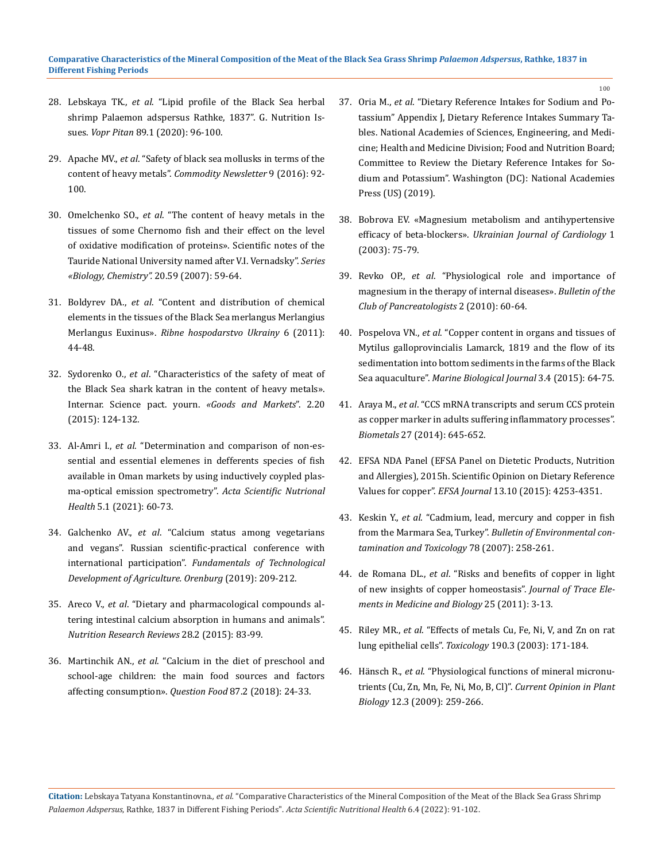- 28. Lebskaya TK., *et al*[. "Lipid profile of the Black Sea herbal](https://pubmed.ncbi.nlm.nih.gov/32083830/)  [shrimp Palaemon adspersus Rathke, 1837". G. Nutrition Is](https://pubmed.ncbi.nlm.nih.gov/32083830/)sues. *Vopr Pitan* [89.1 \(2020\): 96-100.](https://pubmed.ncbi.nlm.nih.gov/32083830/)
- 29. Apache MV., *et al*. "Safety of black sea mollusks in terms of the content of heavy metals". *Commodity Newsletter* 9 (2016): 92- 100.
- 30. Omelchenko SO., *et al*. "The content of heavy metals in the tissues of some Chernomo fish and their effect on the level of oxidative modification of proteins». Scientific notes of the Tauride National University named after V.I. Vernadsky". *Series «Biology, Chemistry".* 20.59 (2007): 59-64.
- 31. Boldyrev DA., *et al*. "Content and distribution of chemical elements in the tissues of the Black Sea merlangus Merlangius Merlangus Euxinus». *Ribne hospodarstvo Ukrainy* 6 (2011): 44-48.
- 32. Sydorenko O., *et al*. "Characteristics of the safety of meat of the Black Sea shark katran in the content of heavy metals». Internar. Science pact. yourn. *«Goods and Markets*". 2.20 (2015): 124-132.
- 33. Al-Amri I., *et al*[. "Determination and comparison of non-es](https://actascientific.com/ASNH/pdf/ASNH-05-0804.pdf)[sential and essential elemenes in defferents species of fish](https://actascientific.com/ASNH/pdf/ASNH-05-0804.pdf)  [available in Oman markets by using inductively coypled plas](https://actascientific.com/ASNH/pdf/ASNH-05-0804.pdf)[ma-optical emission spectrometry".](https://actascientific.com/ASNH/pdf/ASNH-05-0804.pdf) *Acta Scientific Nutrional Health* [5.1 \(2021\): 60-73.](https://actascientific.com/ASNH/pdf/ASNH-05-0804.pdf)
- 34. Galchenko AV., *et al*. "Calcium status among vegetarians and vegans". Russian scientific-practical conference with international participation". *Fundamentals of Technological Development of Agriculture. Orenburg* (2019): 209-212.
- 35. Areco V., *et al*[. "Dietary and pharmacological compounds al](https://pubmed.ncbi.nlm.nih.gov/26466525/)[tering intestinal calcium absorption in humans and animals".](https://pubmed.ncbi.nlm.nih.gov/26466525/)  *[Nutrition Research Reviews](https://pubmed.ncbi.nlm.nih.gov/26466525/)* 28.2 (2015): 83-99.
- 36. Martinchik AN., *et al*. "Calcium in the diet of preschool and school-age children: the main food sources and factors affecting consumption». *Question Food* 87.2 (2018): 24-33.

37. Oria M., *et al*[. "Dietary Reference Intakes for Sodium and Po](https://pubmed.ncbi.nlm.nih.gov/30844154/)[tassium" Appendix J, Dietary Reference Intakes Summary Ta](https://pubmed.ncbi.nlm.nih.gov/30844154/)[bles. National Academies of Sciences, Engineering, and Medi](https://pubmed.ncbi.nlm.nih.gov/30844154/)[cine; Health and Medicine Division; Food and Nutrition Board;](https://pubmed.ncbi.nlm.nih.gov/30844154/)  [Committee to Review the Dietary Reference Intakes for So](https://pubmed.ncbi.nlm.nih.gov/30844154/)[dium and Potassium". Washington \(DC\): National Academies](https://pubmed.ncbi.nlm.nih.gov/30844154/)  [Press \(US\) \(2019\).](https://pubmed.ncbi.nlm.nih.gov/30844154/)

100

- 38. Bobrova EV. «Magnesium metabolism and antihypertensive efficacy of beta-blockers». *Ukrainian Journal of Cardiology* 1 (2003): 75-79.
- 39. Revko OP., *et al*. "Physiological role and importance of magnesium in the therapy of internal diseases». *Bulletin of the Club of Pancreatologists* 2 (2010): 60-64.
- 40. Pospelova VN., *et al*[. "Copper content in organs and tissues of](https://www.sciencegate.app/document/10.21072/mbj.2018.03.4.07)  [Mytilus galloprovincialis Lamarck, 1819 and the flow of its](https://www.sciencegate.app/document/10.21072/mbj.2018.03.4.07)  [sedimentation into bottom sediments in the farms of the Black](https://www.sciencegate.app/document/10.21072/mbj.2018.03.4.07)  Sea aquaculture". *[Marine Biological Journal](https://www.sciencegate.app/document/10.21072/mbj.2018.03.4.07)* 3.4 (2015): 64-75.
- 41. Araya M., *et al*[. "CCS mRNA transcripts and serum CCS protein](https://pubmed.ncbi.nlm.nih.gov/24855044/)  [as copper marker in adults suffering inflammatory processes".](https://pubmed.ncbi.nlm.nih.gov/24855044/)  *Biometals* [27 \(2014\): 645-652.](https://pubmed.ncbi.nlm.nih.gov/24855044/)
- 42. [EFSA NDA Panel \(EFSA Panel on Dietetic Products, Nutrition](https://efsa.onlinelibrary.wiley.com/doi/pdf/10.2903/j.efsa.2015.4253)  [and Allergies\), 2015h. Scientific Opinion on Dietary Reference](https://efsa.onlinelibrary.wiley.com/doi/pdf/10.2903/j.efsa.2015.4253)  Values for copper". *EFSA Journal* [13.10 \(2015\): 4253-4351.](https://efsa.onlinelibrary.wiley.com/doi/pdf/10.2903/j.efsa.2015.4253)
- 43. Keskin Y., *et al*[. "Cadmium, lead, mercury and copper in fish](https://www.researchgate.net/publication/6376157_Cadmium_Lead_Mercury_and_Copper_in_Fish_from_the_Marmara_Sea_Turkey)  from the Marmara Sea, Turkey". *[Bulletin of Environmental con](https://www.researchgate.net/publication/6376157_Cadmium_Lead_Mercury_and_Copper_in_Fish_from_the_Marmara_Sea_Turkey)[tamination and Toxicology](https://www.researchgate.net/publication/6376157_Cadmium_Lead_Mercury_and_Copper_in_Fish_from_the_Marmara_Sea_Turkey)* 78 (2007): 258-261.
- 44. de Romana DL., *et al*[. "Risks and benefits of copper in light](https://pubmed.ncbi.nlm.nih.gov/21342755/)  [of new insights of copper homeostasis".](https://pubmed.ncbi.nlm.nih.gov/21342755/) *Journal of Trace Ele[ments in Medicine and Biology](https://pubmed.ncbi.nlm.nih.gov/21342755/)* 25 (2011): 3-13.
- 45. Riley MR., *et al*[. "Effects of metals Cu, Fe, Ni, V, and Zn on rat](https://pubmed.ncbi.nlm.nih.gov/12927373/)  lung epithelial cells". *Toxicology* [190.3 \(2003\): 171-184.](https://pubmed.ncbi.nlm.nih.gov/12927373/)
- 46. Hänsch R., *et al*[. "Physiological functions of mineral micronu](https://pubmed.ncbi.nlm.nih.gov/19524482/)[trients \(Cu, Zn, Mn, Fe, Ni, Mo, B, Cl\)".](https://pubmed.ncbi.nlm.nih.gov/19524482/) *Current Opinion in Plant Biology* [12.3 \(2009\): 259-266.](https://pubmed.ncbi.nlm.nih.gov/19524482/)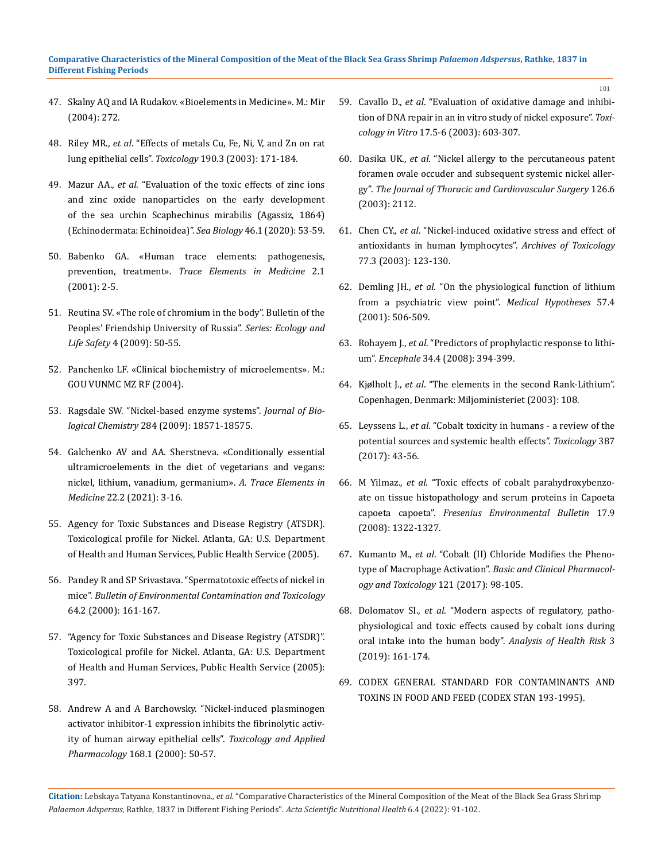- 47. Skalny AQ and IA Rudakov. «Bioelements in Medicine». M.: Mir (2004): 272.
- 48. Riley MR., *et al*[. "Effects of metals Cu, Fe, Ni, V, and Zn on rat](https://pubmed.ncbi.nlm.nih.gov/12927373/)  lung epithelial cells". *Toxicology* [190.3 \(2003\): 171-184.](https://pubmed.ncbi.nlm.nih.gov/12927373/)
- 49. Mazur AA., *et al*. "Evaluation of the toxic effects of zinc ions and zinc oxide nanoparticles on the early development of the sea urchin Scaphechinus mirabilis (Agassiz, 1864) (Echinodermata: Echinoidea)". *Sea Biology* 46.1 (2020): 53-59.
- 50. Babenko GA. «Human trace elements: pathogenesis, prevention, treatment». *Trace Elements in Medicine* 2.1 (2001): 2-5.
- 51. Reutina SV. «The role of chromium in the body". Bulletin of the Peoples' Friendship University of Russia". *Series: Ecology and Life Safety* 4 (2009): 50-55.
- 52. Panchenko LF. «Clinical biochemistry of microelements». M.: GOU VUNMC MZ RF (2004).
- 53. [Ragsdale SW. "Nickel-based enzyme systems".](https://pubmed.ncbi.nlm.nih.gov/19363030/) *Journal of Biological Chemistry* [284 \(2009\): 18571-18575.](https://pubmed.ncbi.nlm.nih.gov/19363030/)
- 54. Galchenko AV and AA. Sherstneva. «Conditionally essential ultramicroelements in the diet of vegetarians and vegans: nickel, lithium, vanadium, germanium». *A. Trace Elements in Medicine* 22.2 (2021): 3-16.
- 55. Agency for Toxic Substances and Disease Registry (ATSDR). Toxicological profile for Nickel. Atlanta, GA: U.S. Department of Health and Human Services, Public Health Service (2005).
- 56. [Pandey R and SP Srivastava. "Spermatotoxic effects of nickel in](https://pubmed.ncbi.nlm.nih.gov/10656880/)  mice". *[Bulletin of Environmental Contamination and Toxicology](https://pubmed.ncbi.nlm.nih.gov/10656880/)*  [64.2 \(2000\): 161-167.](https://pubmed.ncbi.nlm.nih.gov/10656880/)
- 57. ["Agency for Toxic Substances and Disease Registry \(ATSDR\)".](https://www.atsdr.cdc.gov/)  [Toxicological profile for Nickel. Atlanta, GA: U.S. Department](https://www.atsdr.cdc.gov/)  [of Health and Human Services, Public Health Service \(2005\):](https://www.atsdr.cdc.gov/)  [397.](https://www.atsdr.cdc.gov/)
- 58. [Andrew A and A Barchowsky. "Nickel-induced plasminogen](https://www.sciencedirect.com/science/article/abs/pii/S0041008X00990094)  [activator inhibitor-1 expression inhibits the fibrinolytic activ](https://www.sciencedirect.com/science/article/abs/pii/S0041008X00990094)[ity of human airway epithelial cells".](https://www.sciencedirect.com/science/article/abs/pii/S0041008X00990094) *Toxicology and Applied Pharmacology* [168.1 \(2000\): 50-57.](https://www.sciencedirect.com/science/article/abs/pii/S0041008X00990094)

59. Cavallo D., *et al*[. "Evaluation of oxidative damage and inhibi](https://pubmed.ncbi.nlm.nih.gov/14599451/)[tion of DNA repair in an in vitro study of nickel exposure".](https://pubmed.ncbi.nlm.nih.gov/14599451/) *Toxicology in Vitro* [17.5-6 \(2003\): 603-307.](https://pubmed.ncbi.nlm.nih.gov/14599451/)

101

- 60. Dasika UK., *et al*[. "Nickel allergy to the percutaneous patent](https://pubmed.ncbi.nlm.nih.gov/14688749/)  [foramen ovale occuder and subsequent systemic nickel aller](https://pubmed.ncbi.nlm.nih.gov/14688749/)gy". *[The Journal of Thoracic and Cardiovascular Surgery](https://pubmed.ncbi.nlm.nih.gov/14688749/)* 126.6 [\(2003\): 2112.](https://pubmed.ncbi.nlm.nih.gov/14688749/)
- 61. Chen CY., *et al*[. "Nickel-induced oxidative stress and effect of](https://pubmed.ncbi.nlm.nih.gov/12632251/)  [antioxidants in human lymphocytes".](https://pubmed.ncbi.nlm.nih.gov/12632251/) *Archives of Toxicology*  [77.3 \(2003\): 123-130.](https://pubmed.ncbi.nlm.nih.gov/12632251/)
- 62. Demling JH., *et al*[. "On the physiological function of lithium](https://pubmed.ncbi.nlm.nih.gov/11601880/)  [from a psychiatric view point".](https://pubmed.ncbi.nlm.nih.gov/11601880/) *Medical Hypotheses* 57.4 [\(2001\): 506-509.](https://pubmed.ncbi.nlm.nih.gov/11601880/)
- 63. Rohayem J., *et al*[. "Predictors of prophylactic response to lithi](https://pubmed.ncbi.nlm.nih.gov/18922242/)um". *Encephale* [34.4 \(2008\): 394-399.](https://pubmed.ncbi.nlm.nih.gov/18922242/)
- 64. Kjølholt J., *et al*. "The elements in the second Rank-Lithium". Copenhagen, Denmark: Miljoministeriet (2003): 108.
- 65. Leyssens L., *et al*[. "Cobalt toxicity in humans a review of the](https://pubmed.ncbi.nlm.nih.gov/28572025/)  [potential sources and systemic health effects".](https://pubmed.ncbi.nlm.nih.gov/28572025/) *Toxicology* 387 [\(2017\): 43-56.](https://pubmed.ncbi.nlm.nih.gov/28572025/)
- 66. M Yilmaz., *et al*[. "Toxic effects of cobalt parahydroxybenzo](https://www.researchgate.net/publication/228503554_Toxic_effects_of_cobalt_parahydroxy-benzoate_on_tissue_histopathology_and_serum_proteins_in_Capoeta_capoeta_capoeta)[ate on tissue histopathology and serum proteins in Capoeta](https://www.researchgate.net/publication/228503554_Toxic_effects_of_cobalt_parahydroxy-benzoate_on_tissue_histopathology_and_serum_proteins_in_Capoeta_capoeta_capoeta)  capoeta capoeta". *[Fresenius Environmental Bulletin](https://www.researchgate.net/publication/228503554_Toxic_effects_of_cobalt_parahydroxy-benzoate_on_tissue_histopathology_and_serum_proteins_in_Capoeta_capoeta_capoeta)* 17.9 [\(2008\): 1322-1327.](https://www.researchgate.net/publication/228503554_Toxic_effects_of_cobalt_parahydroxy-benzoate_on_tissue_histopathology_and_serum_proteins_in_Capoeta_capoeta_capoeta)
- 67. Kumanto M., *et al*[. "Cobalt \(II\) Chloride Modifies the Pheno](https://pubmed.ncbi.nlm.nih.gov/28244246/)type of Macrophage Activation". *[Basic and Clinical Pharmacol](https://pubmed.ncbi.nlm.nih.gov/28244246/)[ogy and Toxicology](https://pubmed.ncbi.nlm.nih.gov/28244246/)* 121 (2017): 98-105.
- 68. Dolomatov SI., *et al*[. "Modern aspects of regulatory, patho](https://www.researchgate.net/publication/336721118_Modern_aspects_of_regulatory_pathophysiological_and_toxic_effects_of_cobalt_ions_during_oral_intake_in_the_human_body)[physiological and toxic effects caused by cobalt ions during](https://www.researchgate.net/publication/336721118_Modern_aspects_of_regulatory_pathophysiological_and_toxic_effects_of_cobalt_ions_during_oral_intake_in_the_human_body)  [oral intake into the human body".](https://www.researchgate.net/publication/336721118_Modern_aspects_of_regulatory_pathophysiological_and_toxic_effects_of_cobalt_ions_during_oral_intake_in_the_human_body) *Analysis of Health Risk* 3 [\(2019\): 161-174.](https://www.researchgate.net/publication/336721118_Modern_aspects_of_regulatory_pathophysiological_and_toxic_effects_of_cobalt_ions_during_oral_intake_in_the_human_body)
- 69. [CODEX GENERAL STANDARD FOR CONTAMINANTS AND](https://www.fao.org/fileadmin/user_upload/livestockgov/documents/1_CXS_193e.pdf)  [TOXINS IN FOOD AND FEED \(CODEX STAN 193-1995\).](https://www.fao.org/fileadmin/user_upload/livestockgov/documents/1_CXS_193e.pdf)